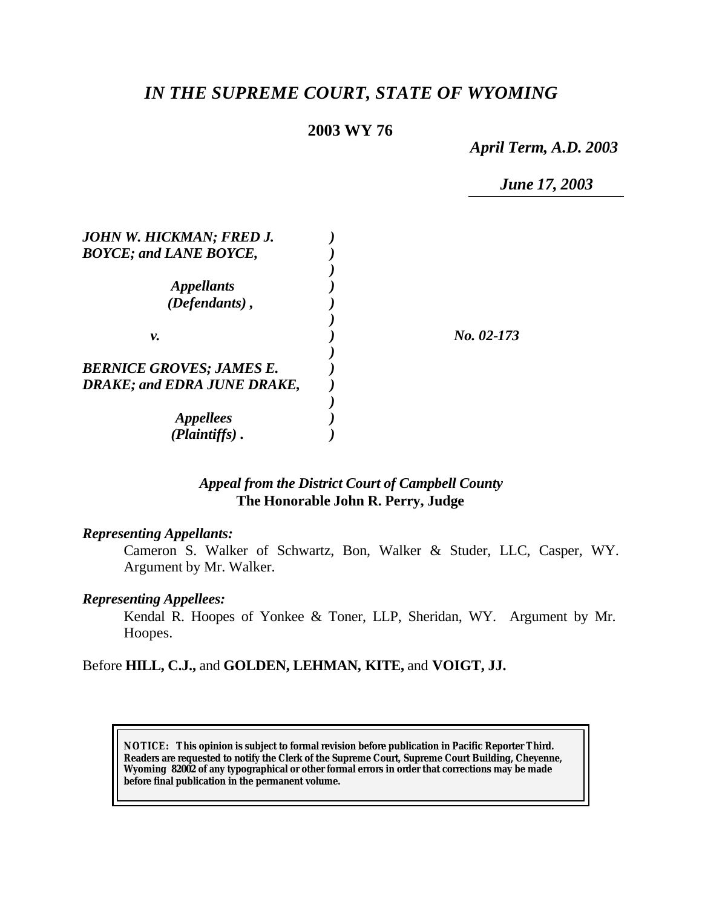# *IN THE SUPREME COURT, STATE OF WYOMING*

# **2003 WY 76**

*April Term, A.D. 2003*

*June 17, 2003*

| JOHN W. HICKMAN; FRED J.           |            |
|------------------------------------|------------|
| <b>BOYCE; and LANE BOYCE,</b>      |            |
|                                    |            |
| <i>Appellants</i>                  |            |
| $(Defendants)$ ,                   |            |
|                                    |            |
| ν.                                 | No. 02-173 |
|                                    |            |
| <b>BERNICE GROVES; JAMES E.</b>    |            |
| <b>DRAKE; and EDRA JUNE DRAKE,</b> |            |
|                                    |            |
| <i>Appellees</i>                   |            |
| (Plaintiffs).                      |            |

# *Appeal from the District Court of Campbell County* **The Honorable John R. Perry, Judge**

#### *Representing Appellants:*

Cameron S. Walker of Schwartz, Bon, Walker & Studer, LLC, Casper, WY. Argument by Mr. Walker.

## *Representing Appellees:*

Kendal R. Hoopes of Yonkee & Toner, LLP, Sheridan, WY. Argument by Mr. Hoopes.

Before **HILL, C.J.,** and **GOLDEN, LEHMAN, KITE,** and **VOIGT, JJ.**

**NOTICE:** *This opinion is subject to formal revision before publication in Pacific Reporter Third. Readers are requested to notify the Clerk of the Supreme Court, Supreme Court Building, Cheyenne, Wyoming 82002 of any typographical or other formal errors in order that corrections may be made before final publication in the permanent volume.*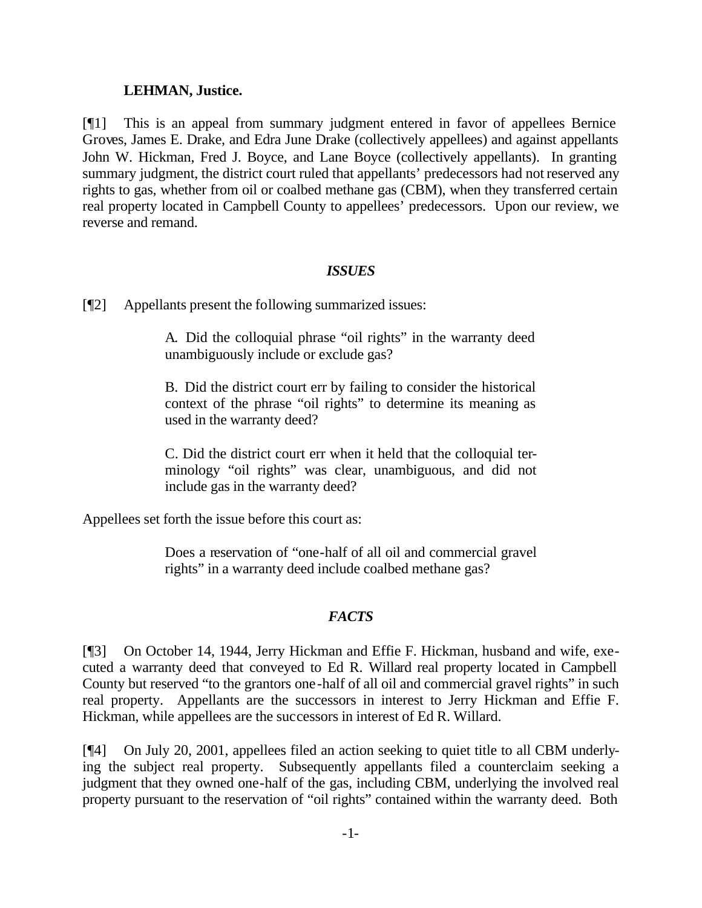#### **LEHMAN, Justice.**

[¶1] This is an appeal from summary judgment entered in favor of appellees Bernice Groves, James E. Drake, and Edra June Drake (collectively appellees) and against appellants John W. Hickman, Fred J. Boyce, and Lane Boyce (collectively appellants). In granting summary judgment, the district court ruled that appellants' predecessors had not reserved any rights to gas, whether from oil or coalbed methane gas (CBM), when they transferred certain real property located in Campbell County to appellees' predecessors. Upon our review, we reverse and remand.

## *ISSUES*

[¶2] Appellants present the following summarized issues:

A. Did the colloquial phrase "oil rights" in the warranty deed unambiguously include or exclude gas?

B. Did the district court err by failing to consider the historical context of the phrase "oil rights" to determine its meaning as used in the warranty deed?

C. Did the district court err when it held that the colloquial terminology "oil rights" was clear, unambiguous, and did not include gas in the warranty deed?

Appellees set forth the issue before this court as:

Does a reservation of "one-half of all oil and commercial gravel rights" in a warranty deed include coalbed methane gas?

# *FACTS*

[¶3] On October 14, 1944, Jerry Hickman and Effie F. Hickman, husband and wife, executed a warranty deed that conveyed to Ed R. Willard real property located in Campbell County but reserved "to the grantors one-half of all oil and commercial gravel rights" in such real property. Appellants are the successors in interest to Jerry Hickman and Effie F. Hickman, while appellees are the successors in interest of Ed R. Willard.

[¶4] On July 20, 2001, appellees filed an action seeking to quiet title to all CBM underlying the subject real property. Subsequently appellants filed a counterclaim seeking a judgment that they owned one-half of the gas, including CBM, underlying the involved real property pursuant to the reservation of "oil rights" contained within the warranty deed. Both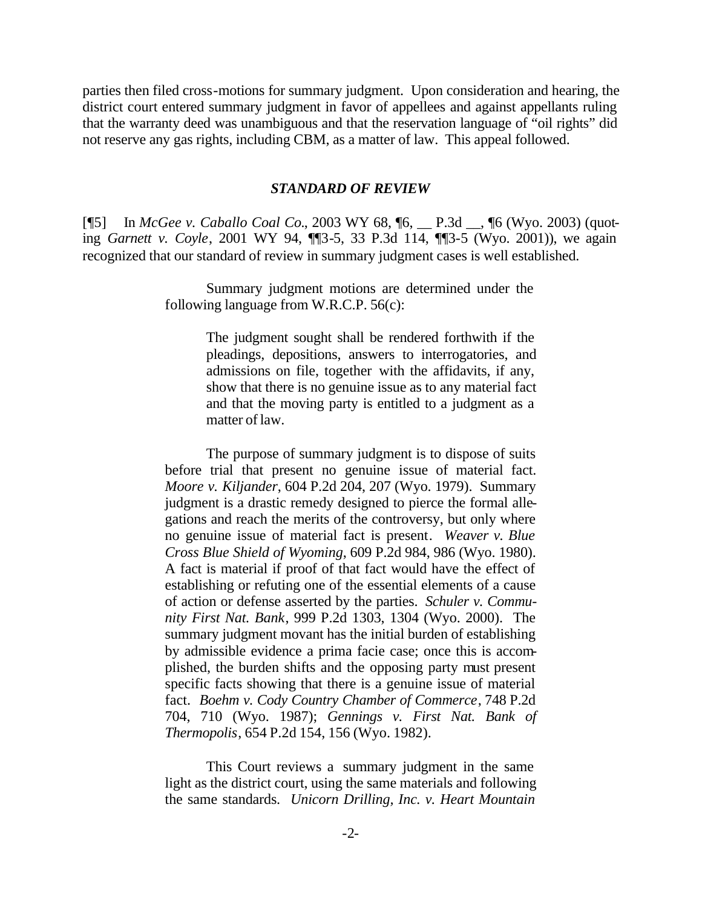parties then filed cross-motions for summary judgment. Upon consideration and hearing, the district court entered summary judgment in favor of appellees and against appellants ruling that the warranty deed was unambiguous and that the reservation language of "oil rights" did not reserve any gas rights, including CBM, as a matter of law. This appeal followed.

#### *STANDARD OF REVIEW*

[¶5] In *McGee v. Caballo Coal Co.*, 2003 WY 68, ¶6, \_\_ P.3d \_\_, ¶6 (Wyo. 2003) (quoting *Garnett v. Coyle*, 2001 WY 94, ¶¶3-5, 33 P.3d 114, ¶¶3-5 (Wyo. 2001)), we again recognized that our standard of review in summary judgment cases is well established.

> Summary judgment motions are determined under the following language from W.R.C.P. 56(c):

> > The judgment sought shall be rendered forthwith if the pleadings, depositions, answers to interrogatories, and admissions on file, together with the affidavits, if any, show that there is no genuine issue as to any material fact and that the moving party is entitled to a judgment as a matter of law.

The purpose of summary judgment is to dispose of suits before trial that present no genuine issue of material fact. *Moore v. Kiljander*, 604 P.2d 204, 207 (Wyo. 1979). Summary judgment is a drastic remedy designed to pierce the formal allegations and reach the merits of the controversy, but only where no genuine issue of material fact is present. *Weaver v. Blue Cross Blue Shield of Wyoming*, 609 P.2d 984, 986 (Wyo. 1980). A fact is material if proof of that fact would have the effect of establishing or refuting one of the essential elements of a cause of action or defense asserted by the parties. *Schuler v. Community First Nat. Bank*, 999 P.2d 1303, 1304 (Wyo. 2000). The summary judgment movant has the initial burden of establishing by admissible evidence a prima facie case; once this is accomplished, the burden shifts and the opposing party must present specific facts showing that there is a genuine issue of material fact. *Boehm v. Cody Country Chamber of Commerce*, 748 P.2d 704, 710 (Wyo. 1987); *Gennings v. First Nat. Bank of Thermopolis*, 654 P.2d 154, 156 (Wyo. 1982).

This Court reviews a summary judgment in the same light as the district court, using the same materials and following the same standards. *Unicorn Drilling, Inc. v. Heart Mountain*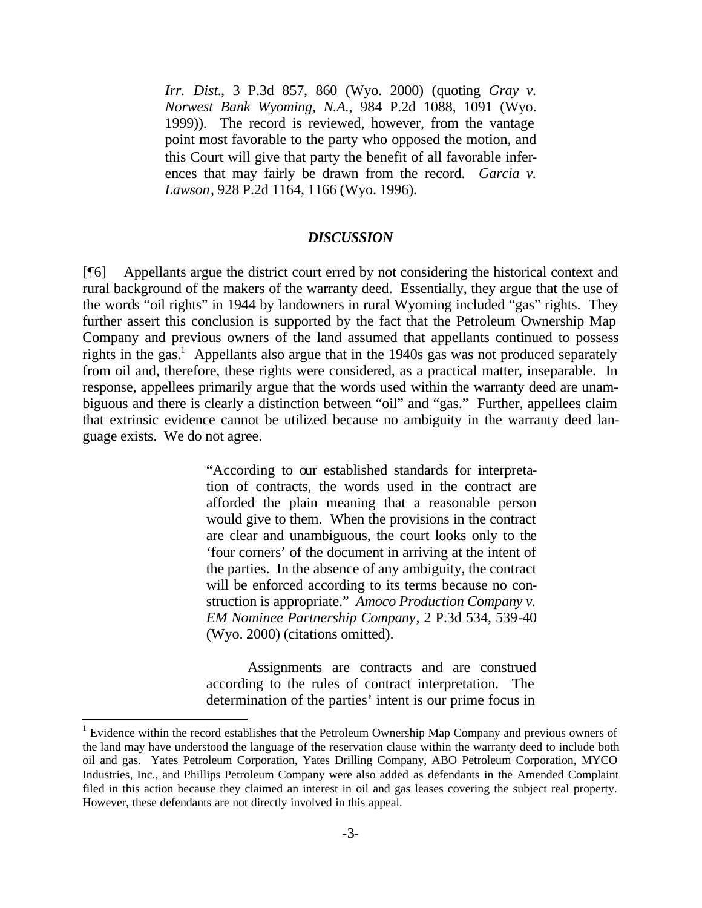*Irr. Dist.*, 3 P.3d 857, 860 (Wyo. 2000) (quoting *Gray v. Norwest Bank Wyoming, N.A.*, 984 P.2d 1088, 1091 (Wyo. 1999)). The record is reviewed, however, from the vantage point most favorable to the party who opposed the motion, and this Court will give that party the benefit of all favorable inferences that may fairly be drawn from the record. *Garcia v. Lawson*, 928 P.2d 1164, 1166 (Wyo. 1996).

#### *DISCUSSION*

[¶6] Appellants argue the district court erred by not considering the historical context and rural background of the makers of the warranty deed. Essentially, they argue that the use of the words "oil rights" in 1944 by landowners in rural Wyoming included "gas" rights. They further assert this conclusion is supported by the fact that the Petroleum Ownership Map Company and previous owners of the land assumed that appellants continued to possess rights in the gas.<sup>1</sup> Appellants also argue that in the 1940s gas was not produced separately from oil and, therefore, these rights were considered, as a practical matter, inseparable. In response, appellees primarily argue that the words used within the warranty deed are unambiguous and there is clearly a distinction between "oil" and "gas." Further, appellees claim that extrinsic evidence cannot be utilized because no ambiguity in the warranty deed language exists. We do not agree.

> "According to our established standards for interpretation of contracts, the words used in the contract are afforded the plain meaning that a reasonable person would give to them. When the provisions in the contract are clear and unambiguous, the court looks only to the 'four corners' of the document in arriving at the intent of the parties. In the absence of any ambiguity, the contract will be enforced according to its terms because no construction is appropriate." *Amoco Production Company v. EM Nominee Partnership Company*, 2 P.3d 534, 539-40 (Wyo. 2000) (citations omitted).

> Assignments are contracts and are construed according to the rules of contract interpretation. The determination of the parties' intent is our prime focus in

l

 $1$  Evidence within the record establishes that the Petroleum Ownership Map Company and previous owners of the land may have understood the language of the reservation clause within the warranty deed to include both oil and gas. Yates Petroleum Corporation, Yates Drilling Company, ABO Petroleum Corporation, MYCO Industries, Inc., and Phillips Petroleum Company were also added as defendants in the Amended Complaint filed in this action because they claimed an interest in oil and gas leases covering the subject real property. However, these defendants are not directly involved in this appeal.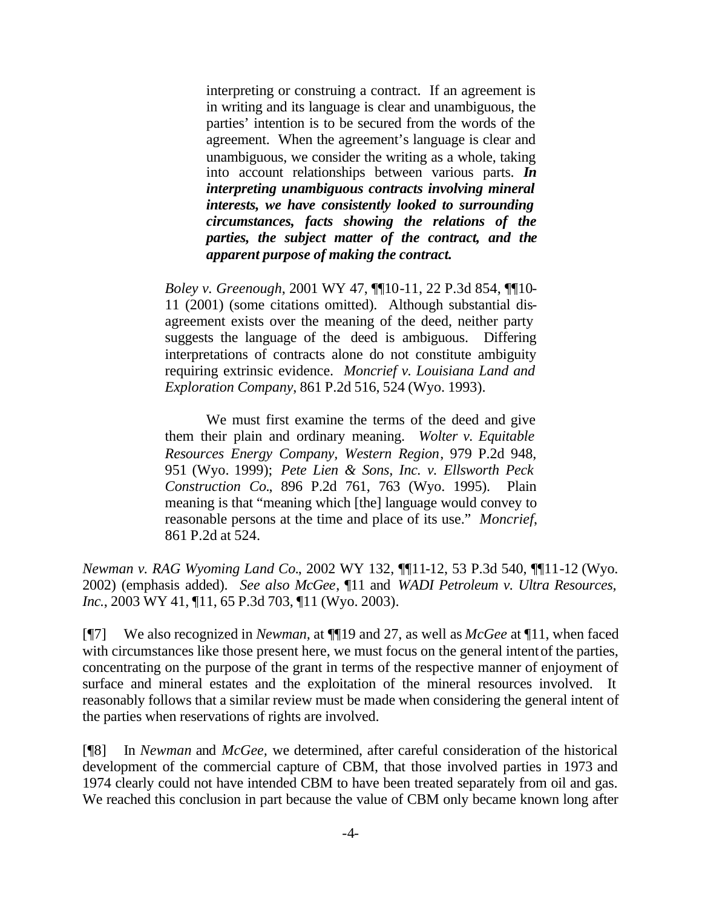interpreting or construing a contract. If an agreement is in writing and its language is clear and unambiguous, the parties' intention is to be secured from the words of the agreement. When the agreement's language is clear and unambiguous, we consider the writing as a whole, taking into account relationships between various parts. *In interpreting unambiguous contracts involving mineral interests, we have consistently looked to surrounding circumstances, facts showing the relations of the parties, the subject matter of the contract, and the apparent purpose of making the contract.*

*Boley v. Greenough*, 2001 WY 47, ¶¶10-11, 22 P.3d 854, ¶¶10- 11 (2001) (some citations omitted). Although substantial disagreement exists over the meaning of the deed, neither party suggests the language of the deed is ambiguous. Differing interpretations of contracts alone do not constitute ambiguity requiring extrinsic evidence. *Moncrief v. Louisiana Land and Exploration Company*, 861 P.2d 516, 524 (Wyo. 1993).

We must first examine the terms of the deed and give them their plain and ordinary meaning. *Wolter v. Equitable Resources Energy Company, Western Region*, 979 P.2d 948, 951 (Wyo. 1999); *Pete Lien & Sons, Inc. v. Ellsworth Peck Construction Co.*, 896 P.2d 761, 763 (Wyo. 1995). Plain meaning is that "meaning which [the] language would convey to reasonable persons at the time and place of its use." *Moncrief*, 861 P.2d at 524.

*Newman v. RAG Wyoming Land Co.*, 2002 WY 132, ¶¶11-12, 53 P.3d 540, ¶¶11-12 (Wyo. 2002) (emphasis added). *See also McGee*, ¶11 and *WADI Petroleum v. Ultra Resources, Inc.*, 2003 WY 41, ¶11, 65 P.3d 703, ¶11 (Wyo. 2003).

[¶7] We also recognized in *Newman,* at ¶¶19 and 27, as well as *McGee* at ¶11, when faced with circumstances like those present here, we must focus on the general intent of the parties, concentrating on the purpose of the grant in terms of the respective manner of enjoyment of surface and mineral estates and the exploitation of the mineral resources involved. It reasonably follows that a similar review must be made when considering the general intent of the parties when reservations of rights are involved.

[¶8] In *Newman* and *McGee,* we determined, after careful consideration of the historical development of the commercial capture of CBM, that those involved parties in 1973 and 1974 clearly could not have intended CBM to have been treated separately from oil and gas. We reached this conclusion in part because the value of CBM only became known long after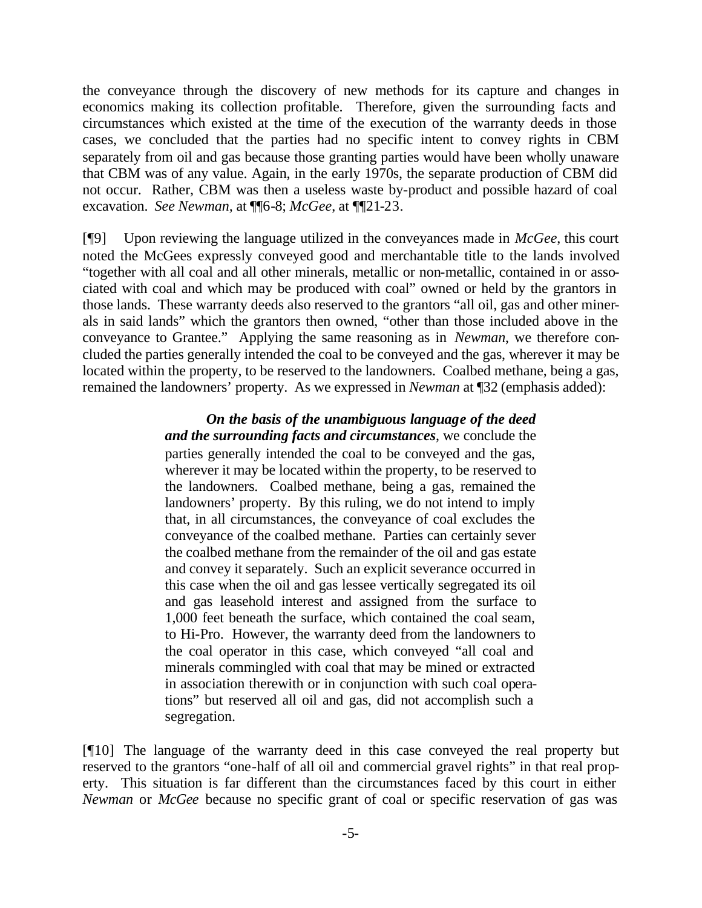the conveyance through the discovery of new methods for its capture and changes in economics making its collection profitable. Therefore, given the surrounding facts and circumstances which existed at the time of the execution of the warranty deeds in those cases, we concluded that the parties had no specific intent to convey rights in CBM separately from oil and gas because those granting parties would have been wholly unaware that CBM was of any value. Again, in the early 1970s, the separate production of CBM did not occur. Rather, CBM was then a useless waste by-product and possible hazard of coal excavation. *See Newman,* at ¶¶6-8; *McGee*, at ¶¶21-23.

[¶9] Upon reviewing the language utilized in the conveyances made in *McGee*, this court noted the McGees expressly conveyed good and merchantable title to the lands involved "together with all coal and all other minerals, metallic or non-metallic, contained in or associated with coal and which may be produced with coal" owned or held by the grantors in those lands. These warranty deeds also reserved to the grantors "all oil, gas and other minerals in said lands" which the grantors then owned, "other than those included above in the conveyance to Grantee." Applying the same reasoning as in *Newman*, we therefore concluded the parties generally intended the coal to be conveyed and the gas, wherever it may be located within the property, to be reserved to the landowners. Coalbed methane, being a gas, remained the landowners' property. As we expressed in *Newman* at ¶32 (emphasis added):

> *On the basis of the unambiguous language of the deed and the surrounding facts and circumstances*, we conclude the parties generally intended the coal to be conveyed and the gas, wherever it may be located within the property, to be reserved to the landowners. Coalbed methane, being a gas, remained the landowners' property. By this ruling, we do not intend to imply that, in all circumstances, the conveyance of coal excludes the conveyance of the coalbed methane. Parties can certainly sever the coalbed methane from the remainder of the oil and gas estate and convey it separately. Such an explicit severance occurred in this case when the oil and gas lessee vertically segregated its oil and gas leasehold interest and assigned from the surface to 1,000 feet beneath the surface, which contained the coal seam, to Hi-Pro. However, the warranty deed from the landowners to the coal operator in this case, which conveyed "all coal and minerals commingled with coal that may be mined or extracted in association therewith or in conjunction with such coal operations" but reserved all oil and gas, did not accomplish such a segregation.

[¶10] The language of the warranty deed in this case conveyed the real property but reserved to the grantors "one-half of all oil and commercial gravel rights" in that real property. This situation is far different than the circumstances faced by this court in either *Newman* or *McGee* because no specific grant of coal or specific reservation of gas was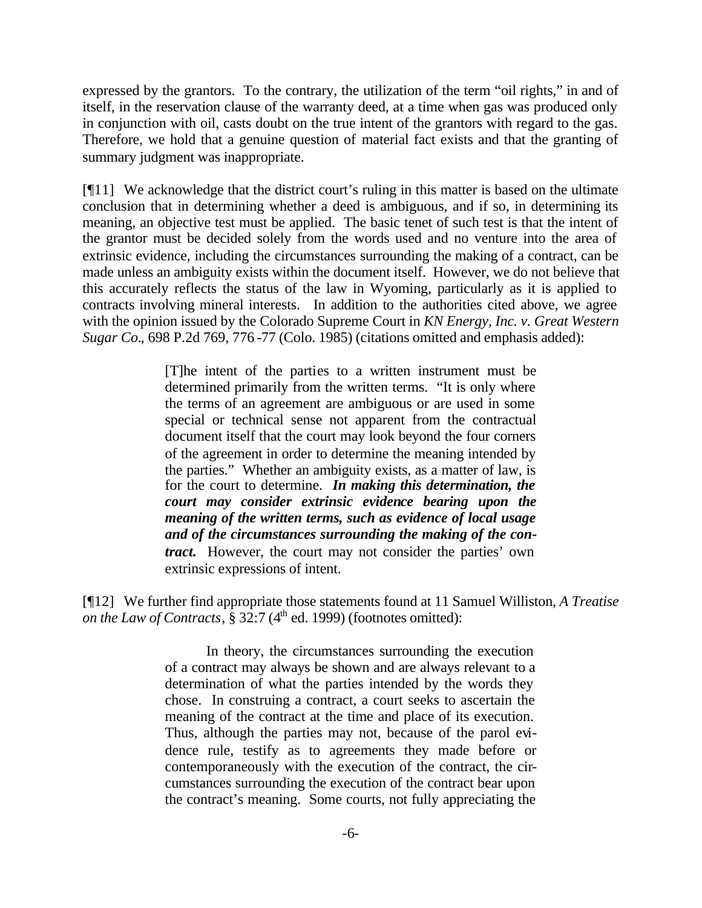expressed by the grantors. To the contrary, the utilization of the term "oil rights," in and of itself, in the reservation clause of the warranty deed, at a time when gas was produced only in conjunction with oil, casts doubt on the true intent of the grantors with regard to the gas. Therefore, we hold that a genuine question of material fact exists and that the granting of summary judgment was inappropriate.

[¶11] We acknowledge that the district court's ruling in this matter is based on the ultimate conclusion that in determining whether a deed is ambiguous, and if so, in determining its meaning, an objective test must be applied. The basic tenet of such test is that the intent of the grantor must be decided solely from the words used and no venture into the area of extrinsic evidence, including the circumstances surrounding the making of a contract, can be made unless an ambiguity exists within the document itself. However, we do not believe that this accurately reflects the status of the law in Wyoming, particularly as it is applied to contracts involving mineral interests. In addition to the authorities cited above, we agree with the opinion issued by the Colorado Supreme Court in *KN Energy, Inc. v. Great Western Sugar Co.*, 698 P.2d 769, 776 -77 (Colo. 1985) (citations omitted and emphasis added):

> [T]he intent of the parties to a written instrument must be determined primarily from the written terms. "It is only where the terms of an agreement are ambiguous or are used in some special or technical sense not apparent from the contractual document itself that the court may look beyond the four corners of the agreement in order to determine the meaning intended by the parties." Whether an ambiguity exists, as a matter of law, is for the court to determine. *In making this determination, the court may consider extrinsic evidence bearing upon the meaning of the written terms, such as evidence of local usage and of the circumstances surrounding the making of the contract.* However, the court may not consider the parties' own extrinsic expressions of intent.

[¶12] We further find appropriate those statements found at 11 Samuel Williston, *A Treatise on the Law of Contracts*,  $\hat{\S}$  32:7 (4<sup>th</sup> ed. 1999) (footnotes omitted):

> In theory, the circumstances surrounding the execution of a contract may always be shown and are always relevant to a determination of what the parties intended by the words they chose. In construing a contract, a court seeks to ascertain the meaning of the contract at the time and place of its execution. Thus, although the parties may not, because of the parol evidence rule, testify as to agreements they made before or contemporaneously with the execution of the contract, the circumstances surrounding the execution of the contract bear upon the contract's meaning. Some courts, not fully appreciating the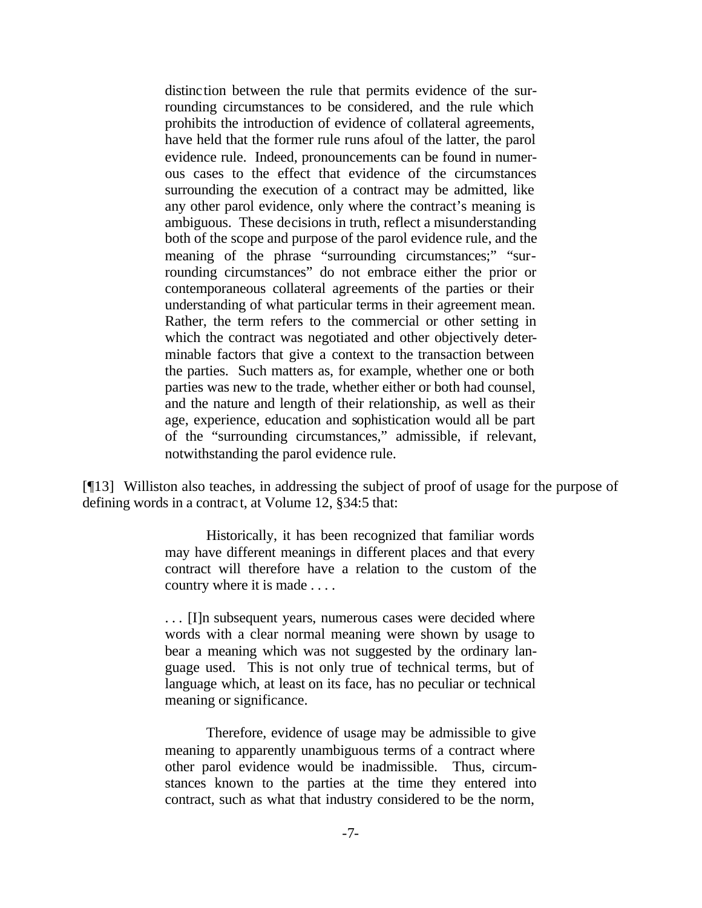distinction between the rule that permits evidence of the surrounding circumstances to be considered, and the rule which prohibits the introduction of evidence of collateral agreements, have held that the former rule runs afoul of the latter, the parol evidence rule. Indeed, pronouncements can be found in numerous cases to the effect that evidence of the circumstances surrounding the execution of a contract may be admitted, like any other parol evidence, only where the contract's meaning is ambiguous. These decisions in truth, reflect a misunderstanding both of the scope and purpose of the parol evidence rule, and the meaning of the phrase "surrounding circumstances;" "surrounding circumstances" do not embrace either the prior or contemporaneous collateral agreements of the parties or their understanding of what particular terms in their agreement mean. Rather, the term refers to the commercial or other setting in which the contract was negotiated and other objectively determinable factors that give a context to the transaction between the parties. Such matters as, for example, whether one or both parties was new to the trade, whether either or both had counsel, and the nature and length of their relationship, as well as their age, experience, education and sophistication would all be part of the "surrounding circumstances," admissible, if relevant, notwithstanding the parol evidence rule.

[¶13] Williston also teaches, in addressing the subject of proof of usage for the purpose of defining words in a contract, at Volume 12, §34:5 that:

> Historically, it has been recognized that familiar words may have different meanings in different places and that every contract will therefore have a relation to the custom of the country where it is made . . . .

> . . . [I]n subsequent years, numerous cases were decided where words with a clear normal meaning were shown by usage to bear a meaning which was not suggested by the ordinary language used. This is not only true of technical terms, but of language which, at least on its face, has no peculiar or technical meaning or significance.

> Therefore, evidence of usage may be admissible to give meaning to apparently unambiguous terms of a contract where other parol evidence would be inadmissible. Thus, circumstances known to the parties at the time they entered into contract, such as what that industry considered to be the norm,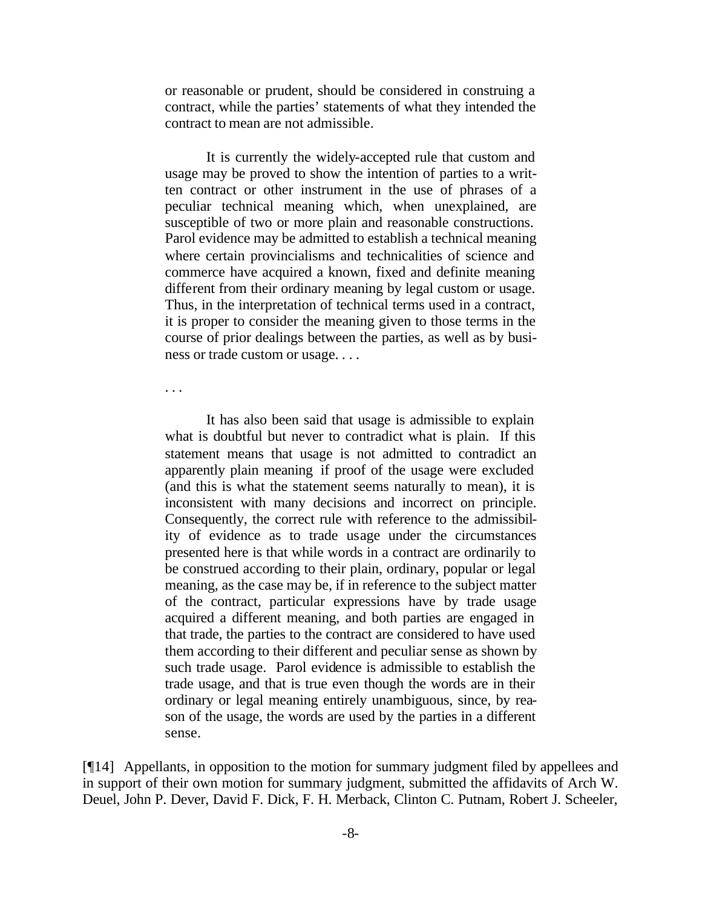or reasonable or prudent, should be considered in construing a contract, while the parties' statements of what they intended the contract to mean are not admissible.

It is currently the widely-accepted rule that custom and usage may be proved to show the intention of parties to a written contract or other instrument in the use of phrases of a peculiar technical meaning which, when unexplained, are susceptible of two or more plain and reasonable constructions. Parol evidence may be admitted to establish a technical meaning where certain provincialisms and technicalities of science and commerce have acquired a known, fixed and definite meaning different from their ordinary meaning by legal custom or usage. Thus, in the interpretation of technical terms used in a contract, it is proper to consider the meaning given to those terms in the course of prior dealings between the parties, as well as by business or trade custom or usage. . . .

. . .

It has also been said that usage is admissible to explain what is doubtful but never to contradict what is plain. If this statement means that usage is not admitted to contradict an apparently plain meaning if proof of the usage were excluded (and this is what the statement seems naturally to mean), it is inconsistent with many decisions and incorrect on principle. Consequently, the correct rule with reference to the admissibility of evidence as to trade usage under the circumstances presented here is that while words in a contract are ordinarily to be construed according to their plain, ordinary, popular or legal meaning, as the case may be, if in reference to the subject matter of the contract, particular expressions have by trade usage acquired a different meaning, and both parties are engaged in that trade, the parties to the contract are considered to have used them according to their different and peculiar sense as shown by such trade usage. Parol evidence is admissible to establish the trade usage, and that is true even though the words are in their ordinary or legal meaning entirely unambiguous, since, by reason of the usage, the words are used by the parties in a different sense.

[¶14] Appellants, in opposition to the motion for summary judgment filed by appellees and in support of their own motion for summary judgment, submitted the affidavits of Arch W. Deuel, John P. Dever, David F. Dick, F. H. Merback, Clinton C. Putnam, Robert J. Scheeler,